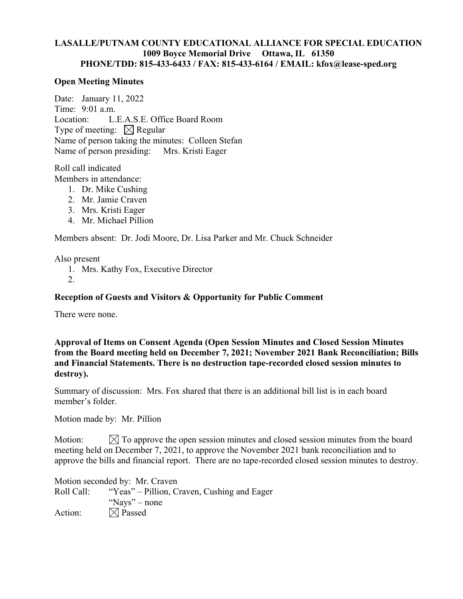# **LASALLE/PUTNAM COUNTY EDUCATIONAL ALLIANCE FOR SPECIAL EDUCATION 1009 Boyce Memorial Drive Ottawa, IL 61350 PHONE/TDD: 815-433-6433 / FAX: 815-433-6164 / EMAIL: kfox@lease-sped.org**

## **Open Meeting Minutes**

Date: January 11, 2022 Time: 9:01 a.m. Location: L.E.A.S.E. Office Board Room Type of meeting:  $\boxtimes$  Regular Name of person taking the minutes: Colleen Stefan Name of person presiding: Mrs. Kristi Eager

Roll call indicated Members in attendance:

- 1. Dr. Mike Cushing
- 2. Mr. Jamie Craven
- 3. Mrs. Kristi Eager
- 4. Mr. Michael Pillion

Members absent: Dr. Jodi Moore, Dr. Lisa Parker and Mr. Chuck Schneider

Also present

- 1. Mrs. Kathy Fox, Executive Director
- 2.

## **Reception of Guests and Visitors & Opportunity for Public Comment**

There were none.

**Approval of Items on Consent Agenda (Open Session Minutes and Closed Session Minutes from the Board meeting held on December 7, 2021; November 2021 Bank Reconciliation; Bills and Financial Statements. There is no destruction tape-recorded closed session minutes to destroy).** 

Summary of discussion: Mrs. Fox shared that there is an additional bill list is in each board member's folder.

Motion made by: Mr. Pillion

Motion:  $\boxtimes$  To approve the open session minutes and closed session minutes from the board meeting held on December 7, 2021, to approve the November 2021 bank reconciliation and to approve the bills and financial report. There are no tape-recorded closed session minutes to destroy.

Motion seconded by: Mr. Craven Roll Call: "Yeas" – Pillion, Craven, Cushing and Eager "Nays" – none Action:  $\boxtimes$  Passed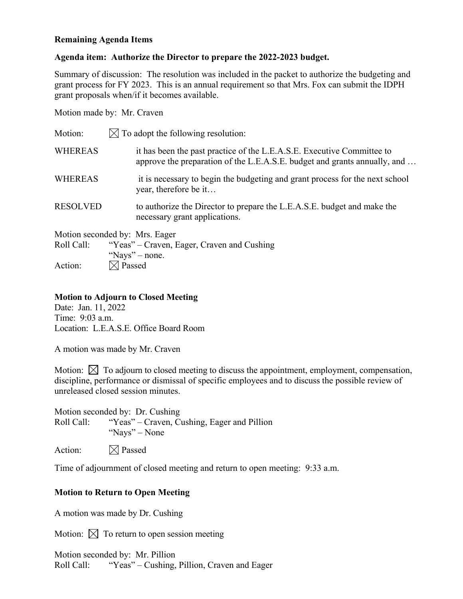## **Remaining Agenda Items**

## **Agenda item: Authorize the Director to prepare the 2022-2023 budget.**

Summary of discussion: The resolution was included in the packet to authorize the budgeting and grant process for FY 2023. This is an annual requirement so that Mrs. Fox can submit the IDPH grant proposals when/if it becomes available.

Motion made by: Mr. Craven

| Motion:         | $\boxtimes$ To adopt the following resolution:                                                                                                      |
|-----------------|-----------------------------------------------------------------------------------------------------------------------------------------------------|
| <b>WHEREAS</b>  | it has been the past practice of the L.E.A.S.E. Executive Committee to<br>approve the preparation of the L.E.A.S.E. budget and grants annually, and |
| <b>WHEREAS</b>  | it is necessary to begin the budgeting and grant process for the next school<br>year, therefore be it                                               |
| <b>RESOLVED</b> | to authorize the Director to prepare the L.E.A.S.E. budget and make the<br>necessary grant applications.                                            |
|                 | Motion seconded by: Mrs. Eager                                                                                                                      |
| Roll Call:      | "Yeas" – Craven, Eager, Craven and Cushing                                                                                                          |
|                 | "Nays" – none.                                                                                                                                      |
| Action:         | $\times$ Passed                                                                                                                                     |

## **Motion to Adjourn to Closed Meeting**

Date: Jan. 11, 2022 Time: 9:03 a.m. Location: L.E.A.S.E. Office Board Room

A motion was made by Mr. Craven

Motion:  $\boxtimes$  To adjourn to closed meeting to discuss the appointment, employment, compensation, discipline, performance or dismissal of specific employees and to discuss the possible review of unreleased closed session minutes.

Motion seconded by: Dr. Cushing Roll Call: "Yeas" – Craven, Cushing, Eager and Pillion "Nays" – None

Action:  $\boxtimes$  Passed

Time of adjournment of closed meeting and return to open meeting: 9:33 a.m.

# **Motion to Return to Open Meeting**

A motion was made by Dr. Cushing

Motion:  $\boxtimes$  To return to open session meeting

Motion seconded by: Mr. Pillion Roll Call: "Yeas" – Cushing, Pillion, Craven and Eager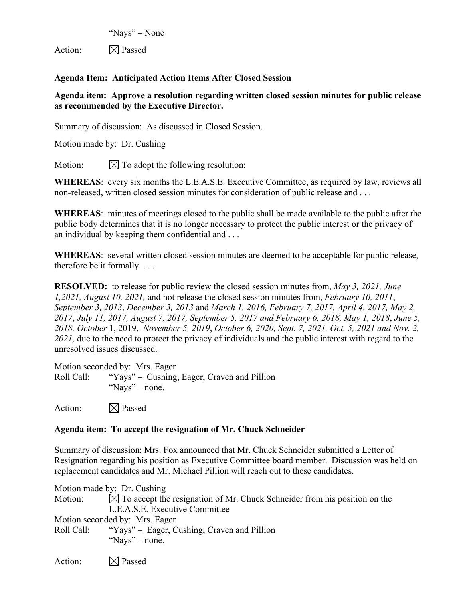"Nays" – None

Action:  $\boxtimes$  Passed

# **Agenda Item: Anticipated Action Items After Closed Session**

# **Agenda item: Approve a resolution regarding written closed session minutes for public release as recommended by the Executive Director.**

Summary of discussion: As discussed in Closed Session.

Motion made by: Dr. Cushing

Motion:  $\mathbb{\nabla}$  To adopt the following resolution:

**WHEREAS**: every six months the L.E.A.S.E. Executive Committee, as required by law, reviews all non-released, written closed session minutes for consideration of public release and . . .

**WHEREAS**: minutes of meetings closed to the public shall be made available to the public after the public body determines that it is no longer necessary to protect the public interest or the privacy of an individual by keeping them confidential and . . .

**WHEREAS**: several written closed session minutes are deemed to be acceptable for public release, therefore be it formally . . .

**RESOLVED:** to release for public review the closed session minutes from, *May 3, 2021, June 1,2021, August 10, 2021,* and not release the closed session minutes from, *February 10, 2011*, *September 3, 2013*, *December 3, 2013* and *March 1, 2016, February 7, 2017, April 4, 2017, May 2, 2017*, *July 11, 2017, August 7, 2017, September 5, 2017 and February 6, 2018, May 1, 2018*, *June 5, 2018, October* 1, 2019, *November 5, 2019*, *October 6, 2020, Sept. 7, 2021, Oct. 5, 2021 and Nov. 2, 2021,* due to the need to protect the privacy of individuals and the public interest with regard to the unresolved issues discussed.

Motion seconded by: Mrs. Eager Roll Call: "Yays" – Cushing, Eager, Craven and Pillion "Nays" – none.

Action:  $\boxtimes$  Passed

# **Agenda item: To accept the resignation of Mr. Chuck Schneider**

Summary of discussion: Mrs. Fox announced that Mr. Chuck Schneider submitted a Letter of Resignation regarding his position as Executive Committee board member. Discussion was held on replacement candidates and Mr. Michael Pillion will reach out to these candidates.

Motion made by: Dr. Cushing Motion:  $\mathbb{N}$  To accept the resignation of Mr. Chuck Schneider from his position on the L.E.A.S.E. Executive Committee Motion seconded by: Mrs. Eager Roll Call: "Yays" – Eager, Cushing, Craven and Pillion "Nays" – none.

Action:  $\boxtimes$  Passed